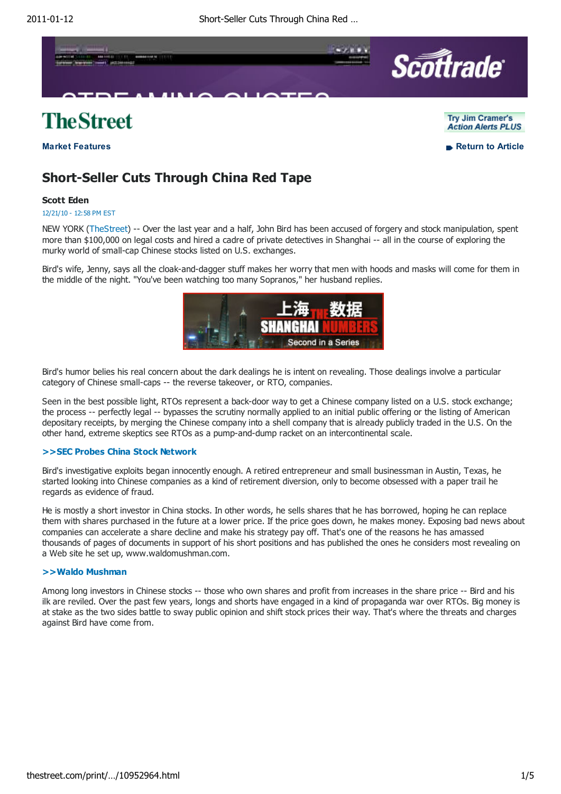

# **TheStreet**

**Market Features and Exercise Return to Article** 

### Try Jim Cramer's **Action Alerts PLUS**

## **Short-Seller Cuts Through China Red Tape**

### **Scott Eden**

#### 12/21/10 - 12:58 PM EST

NEW YORK (TheStreet) -- Over the last year and a half, John Bird has been accused of forgery and stock manipulation, spent more than \$100,000 on legal costs and hired a cadre of private detectives in Shanghai -- all in the course of exploring the murky world of small-cap Chinese stocks listed on U.S. exchanges.

Bird's wife, Jenny, says all the cloak-and-dagger stuff makes her worry that men with hoods and masks will come for them in the middle of the night. "You've been watching too many Sopranos," her husband replies.



Bird's humor belies his real concern about the dark dealings he is intent on revealing. Those dealings involve a particular category of Chinese small-caps -- the reverse takeover, or RTO, companies.

Seen in the best possible light, RTOs represent a back-door way to get a Chinese company listed on a U.S. stock exchange; the process -- perfectly legal -- bypasses the scrutiny normally applied to an initial public offering or the listing of American depositary receipts, by merging the Chinese company into a shell company that is already publicly traded in the U.S. On the other hand, extreme skeptics see RTOs as a pump-and-dump racket on an intercontinental scale.

#### **>>SEC Probes China Stock Network**

Bird's investigative exploits began innocently enough. A retired entrepreneur and small businessman in Austin, Texas, he started looking into Chinese companies as a kind of retirement diversion, only to become obsessed with a paper trail he regards as evidence of fraud.

He is mostly a short investor in China stocks. In other words, he sells shares that he has borrowed, hoping he can replace them with shares purchased in the future at a lower price. If the price goes down, he makes money. Exposing bad news about companies can accelerate a share decline and make his strategy pay off. That's one of the reasons he has amassed thousands of pages of documents in support of his short positions and has published the ones he considers most revealing on a Web site he set up, www.waldomushman.com.

#### **>>Waldo Mushman**

Among long investors in Chinese stocks -- those who own shares and profit from increases in the share price -- Bird and his ilk are reviled. Over the past few years, longs and shorts have engaged in a kind of propaganda war over RTOs. Big money is at stake as the two sides battle to sway public opinion and shift stock prices their way. That's where the threats and charges against Bird have come from.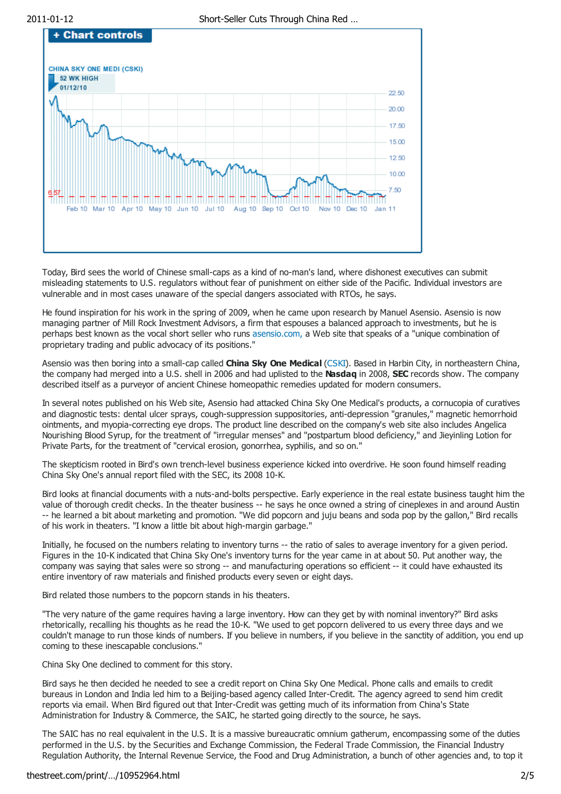

Today, Bird sees the world of Chinese small-caps as a kind of no-man's land, where dishonest executives can submit misleading statements to U.S. regulators without fear of punishment on either side of the Pacific. Individual investors are vulnerable and in most cases unaware of the special dangers associated with RTOs, he says.

He found inspiration for his work in the spring of 2009, when he came upon research by Manuel Asensio. Asensio is now managing partner of Mill Rock Investment Advisors, a firm that espouses a balanced approach to investments, but he is perhaps best known as the vocal short seller who runs asensio.com, a Web site that speaks of a "unique combination of proprietary trading and public advocacy of its positions."

Asensio was then boring into a small-cap called **China Sky One Medical** (CSKI). Based in Harbin City, in northeastern China, the company had merged into a U.S. shell in 2006 and had uplisted to the **Nasdaq** in 2008, **SEC** records show. The company described itself as a purveyor of ancient Chinese homeopathic remedies updated for modern consumers.

In several notes published on his Web site, Asensio had attacked China Sky One Medical's products, a cornucopia of curatives and diagnostic tests: dental ulcer sprays, cough-suppression suppositories, anti-depression "granules," magnetic hemorrhoid ointments, and myopia-correcting eye drops. The product line described on the company's web site also includes Angelica Nourishing Blood Syrup, for the treatment of "irregular menses" and "postpartum blood deficiency," and Jieyinling Lotion for Private Parts, for the treatment of "cervical erosion, gonorrhea, syphilis, and so on."

The skepticism rooted in Bird's own trench-level business experience kicked into overdrive. He soon found himself reading China Sky One's annual report filed with the SEC, its 2008 10-K.

Bird looks at financial documents with a nuts-and-bolts perspective. Early experience in the real estate business taught him the value of thorough credit checks. In the theater business -- he says he once owned a string of cineplexes in and around Austin -- he learned a bit about marketing and promotion. "We did popcorn and juju beans and soda pop by the gallon," Bird recalls of his work in theaters. "I know a little bit about high-margin garbage."

Initially, he focused on the numbers relating to inventory turns -- the ratio of sales to average inventory for a given period. Figures in the 10-K indicated that China Sky One's inventory turns for the year came in at about 50. Put another way, the company was saying that sales were so strong -- and manufacturing operations so efficient -- it could have exhausted its entire inventory of raw materials and finished products every seven or eight days.

Bird related those numbers to the popcorn stands in his theaters.

"The very nature of the game requires having a large inventory. How can they get by with nominal inventory?" Bird asks rhetorically, recalling his thoughts as he read the 10-K. "We used to get popcorn delivered to us every three days and we couldn't manage to run those kinds of numbers. If you believe in numbers, if you believe in the sanctity of addition, you end up coming to these inescapable conclusions."

China Sky One declined to comment for this story.

Bird says he then decided he needed to see a credit report on China Sky One Medical. Phone calls and emails to credit bureaus in London and India led him to a Beijing-based agency called Inter-Credit. The agency agreed to send him credit reports via email. When Bird figured out that Inter-Credit was getting much of its information from China's State Administration for Industry & Commerce, the SAIC, he started going directly to the source, he says.

The SAIC has no real equivalent in the U.S. It is a massive bureaucratic omnium gatherum, encompassing some of the duties performed in the U.S. by the Securities and Exchange Commission, the Federal Trade Commission, the Financial Industry Regulation Authority, the Internal Revenue Service, the Food and Drug Administration, a bunch of other agencies and, to top it

### thestreet.com/print/…/10952964.html 2/5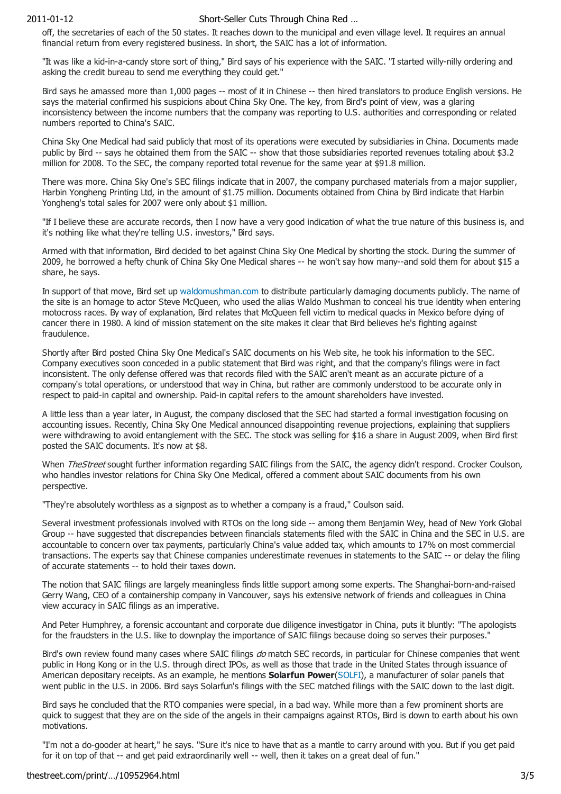#### 2011-01-12 Short-Seller Cuts Through China Red …

off, the secretaries of each of the 50 states. It reaches down to the municipal and even village level. It requires an annual financial return from every registered business. In short, the SAIC has a lot of information.

"It was like a kid-in-a-candy store sort of thing," Bird says of his experience with the SAIC. "I started willy-nilly ordering and asking the credit bureau to send me everything they could get."

Bird says he amassed more than 1,000 pages -- most of it in Chinese -- then hired translators to produce English versions. He says the material confirmed his suspicions about China Sky One. The key, from Bird's point of view, was a glaring inconsistency between the income numbers that the company was reporting to U.S. authorities and corresponding or related numbers reported to China's SAIC.

China Sky One Medical had said publicly that most of its operations were executed by subsidiaries in China. Documents made public by Bird -- says he obtained them from the SAIC -- show that those subsidiaries reported revenues totaling about \$3.2 million for 2008. To the SEC, the company reported total revenue for the same year at \$91.8 million.

There was more. China Sky One's SEC filings indicate that in 2007, the company purchased materials from a major supplier, Harbin Yongheng Printing Ltd, in the amount of \$1.75 million. Documents obtained from China by Bird indicate that Harbin Yongheng's total sales for 2007 were only about \$1 million.

"If I believe these are accurate records, then I now have a very good indication of what the true nature of this business is, and it's nothing like what they're telling U.S. investors," Bird says.

Armed with that information, Bird decided to bet against China Sky One Medical by shorting the stock. During the summer of 2009, he borrowed a hefty chunk of China Sky One Medical shares -- he won't say how many--and sold them for about \$15 a share, he says.

In support of that move, Bird set up waldomushman.com to distribute particularly damaging documents publicly. The name of the site is an homage to actor Steve McQueen, who used the alias Waldo Mushman to conceal his true identity when entering motocross races. By way of explanation, Bird relates that McQueen fell victim to medical quacks in Mexico before dying of cancer there in 1980. A kind of mission statement on the site makes it clear that Bird believes he's fighting against fraudulence.

Shortly after Bird posted China Sky One Medical's SAIC documents on his Web site, he took his information to the SEC. Company executives soon conceded in a public statement that Bird was right, and that the company's filings were in fact inconsistent. The only defense offered was that records filed with the SAIC aren't meant as an accurate picture of a company's total operations, or understood that way in China, but rather are commonly understood to be accurate only in respect to paid-in capital and ownership. Paid-in capital refers to the amount shareholders have invested.

A little less than a year later, in August, the company disclosed that the SEC had started a formal investigation focusing on accounting issues. Recently, China Sky One Medical announced disappointing revenue projections, explaining that suppliers were withdrawing to avoid entanglement with the SEC. The stock was selling for \$16 a share in August 2009, when Bird first posted the SAIC documents. It's now at \$8.

When *TheStreet* sought further information regarding SAIC filings from the SAIC, the agency didn't respond. Crocker Coulson, who handles investor relations for China Sky One Medical, offered a comment about SAIC documents from his own perspective.

"They're absolutely worthless as a signpost as to whether a company is a fraud," Coulson said.

Several investment professionals involved with RTOs on the long side -- among them Benjamin Wey, head of New York Global Group -- have suggested that discrepancies between financials statements filed with the SAIC in China and the SEC in U.S. are accountable to concern over tax payments, particularly China's value added tax, which amounts to 17% on most commercial transactions. The experts say that Chinese companies underestimate revenues in statements to the SAIC -- or delay the filing of accurate statements -- to hold their taxes down.

The notion that SAIC filings are largely meaningless finds little support among some experts. The Shanghai-born-and-raised Gerry Wang, CEO of a containership company in Vancouver, says his extensive network of friends and colleagues in China view accuracy in SAIC filings as an imperative.

And Peter Humphrey, a forensic accountant and corporate due diligence investigator in China, puts it bluntly: "The apologists for the fraudsters in the U.S. like to downplay the importance of SAIC filings because doing so serves their purposes."

Bird's own review found many cases where SAIC filings do match SEC records, in particular for Chinese companies that went public in Hong Kong or in the U.S. through direct IPOs, as well as those that trade in the United States through issuance of American depositary receipts. As an example, he mentions **Solarfun Power**(SOLFI), a manufacturer of solar panels that went public in the U.S. in 2006. Bird says Solarfun's filings with the SEC matched filings with the SAIC down to the last digit.

Bird says he concluded that the RTO companies were special, in a bad way. While more than a few prominent shorts are quick to suggest that they are on the side of the angels in their campaigns against RTOs, Bird is down to earth about his own motivations.

"I'm not a do-gooder at heart," he says. "Sure it's nice to have that as a mantle to carry around with you. But if you get paid for it on top of that -- and get paid extraordinarily well -- well, then it takes on a great deal of fun."

### thestreet.com/print/…/10952964.html 3/5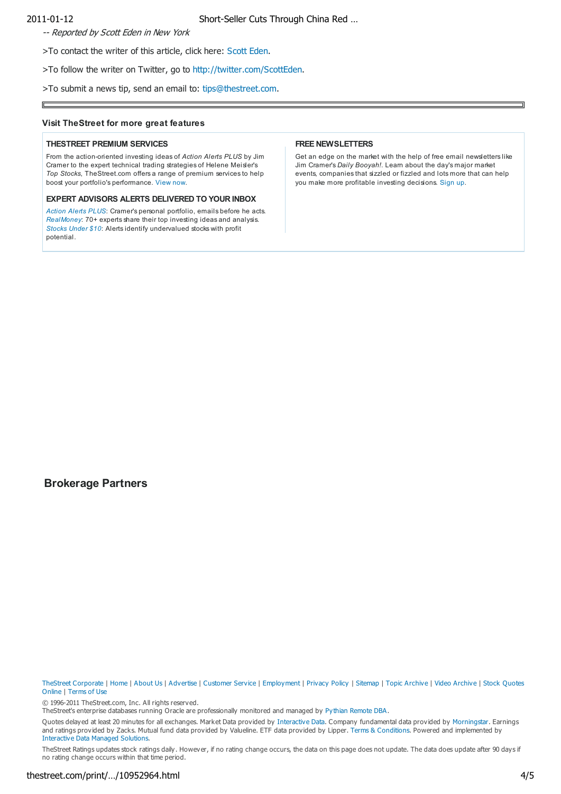2011-01-12 Short-Seller Cuts Through China Red …

-- Reported by Scott Eden in New York

>To contact the writer of this article, click here: Scott Eden.

>To follow the writer on Twitter, go to http://twitter.com/ScottEden.

>To submit a news tip, send an email to: tips@thestreet.com.

#### **Visit TheStreet for more great features**

#### **THESTREET PREMIUM SERVICES**

From the action-oriented investing ideas of *Action Alerts PLUS* by Jim Cramer to the expert technical trading strategies of Helene Meisler's *Top Stocks*, TheStreet.com offers a range of premium services to help boost your portfolio's performance. View now.

#### **EXPERT ADVISORS ALERTS DELIVERED TO YOUR INBOX**

*Action Alerts PLUS*: Cramer's personal portfolio, emails before he acts. *RealMoney*: 70+ experts share their top investing ideas and analysis. *Stocks Under \$10*: Alerts identify undervalued stocks with profit potential.

#### **FREE NEWSLETTERS**

Get an edge on the market with the help of free email newsletters like Jim Cramer's *Daily Booyah!*. Learn about the day's major market events, companies that sizzled or fizzled and lots more that can help you make more profitable investing decisions. Sign up.

### **Brokerage Partners**

TheStreet Corporate | Home | About Us | Advertise | Customer Service | Employment | Privacy Policy | Sitemap | Topic Archive | Video Archive | Stock Quotes Online | Terms of Use

© 1996-2011 TheStreet.com, Inc. All rights reserved.

TheStreet's enterprise databases running Oracle are professionally monitored and managed by Pythian Remote DBA.

Quotes delayed at least 20 minutes for all exchanges. Market Data provided by Interactive Data. Company fundamental data provided by Morningstar. Earnings and ratings provided by Zacks. Mutual fund data provided by Valueline. ETF data provided by Lipper. Terms & Conditions. Powered and implemented by Interactive Data Managed Solutions.

TheStreet Ratings updates stock ratings daily. However, if no rating change occurs, the data on this page does not update. The data does update after 90 days if no rating change occurs within that time period.